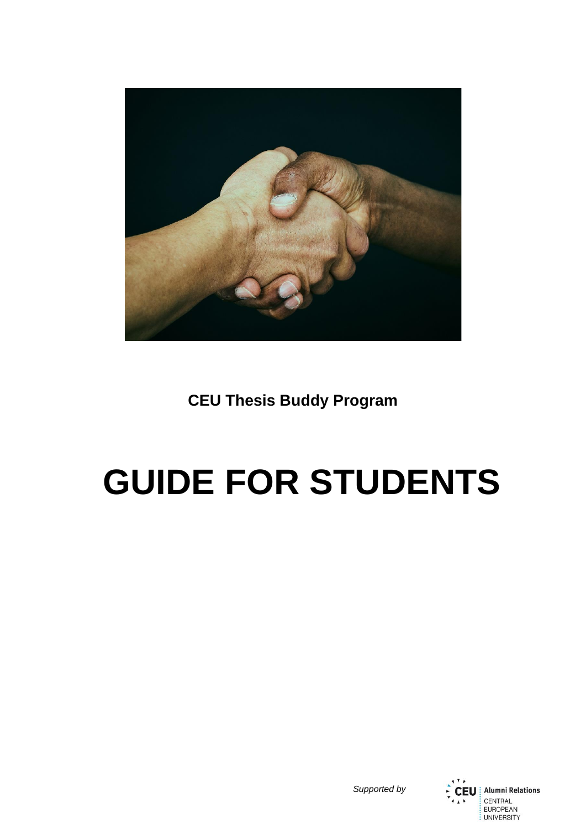

**CEU Thesis Buddy Program**

# **GUIDE FOR STUDENTS**

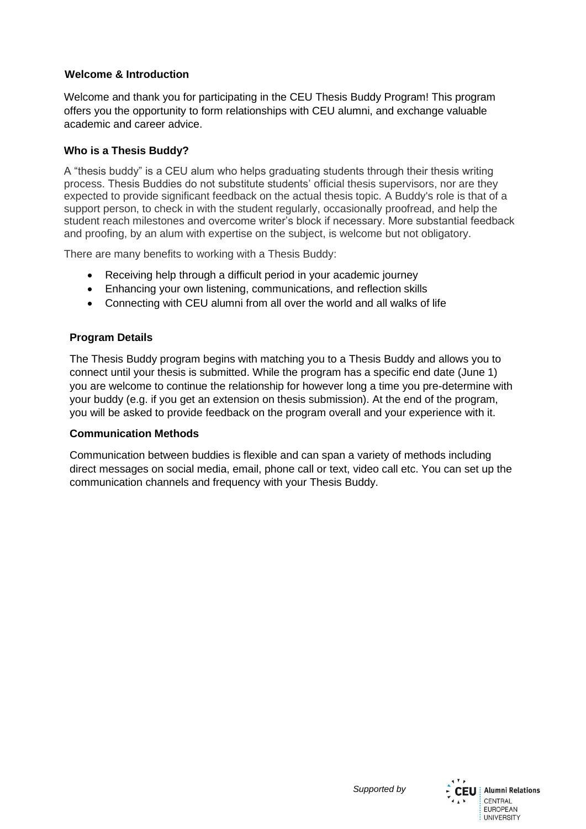## **Welcome & Introduction**

Welcome and thank you for participating in the CEU Thesis Buddy Program! This program offers you the opportunity to form relationships with CEU alumni, and exchange valuable academic and career advice.

## **Who is a Thesis Buddy?**

A "thesis buddy" is a CEU alum who helps graduating students through their thesis writing process. Thesis Buddies do not substitute students' official thesis supervisors, nor are they expected to provide significant feedback on the actual thesis topic. A Buddy's role is that of a support person, to check in with the student regularly, occasionally proofread, and help the student reach milestones and overcome writer's block if necessary. More substantial feedback and proofing, by an alum with expertise on the subject, is welcome but not obligatory.

There are many benefits to working with a Thesis Buddy:

- Receiving help through a difficult period in your academic journey
- Enhancing your own listening, communications, and reflection skills
- Connecting with CEU alumni from all over the world and all walks of life

## **Program Details**

The Thesis Buddy program begins with matching you to a Thesis Buddy and allows you to connect until your thesis is submitted. While the program has a specific end date (June 1) you are welcome to continue the relationship for however long a time you pre-determine with your buddy (e.g. if you get an extension on thesis submission). At the end of the program, you will be asked to provide feedback on the program overall and your experience with it.

#### **Communication Methods**

Communication between buddies is flexible and can span a variety of methods including direct messages on social media, email, phone call or text, video call etc. You can set up the communication channels and frequency with your Thesis Buddy.

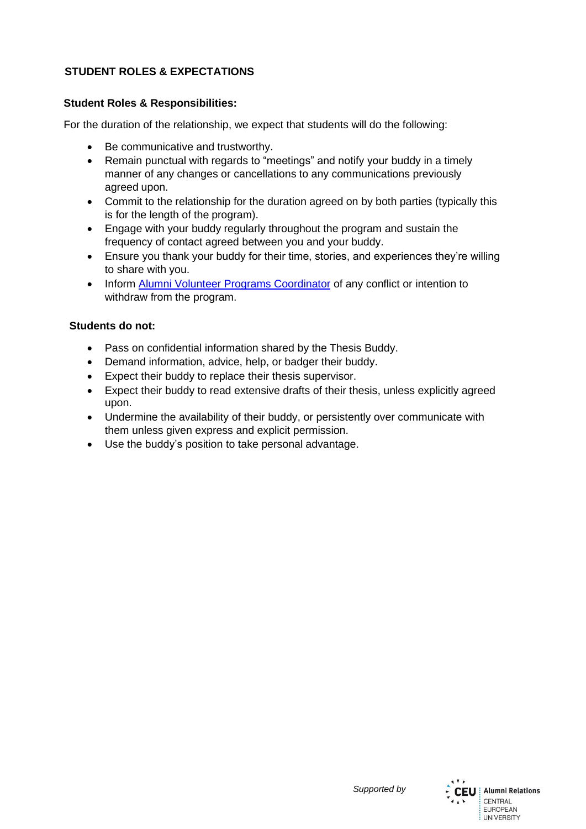## **STUDENT ROLES & EXPECTATIONS**

## **Student Roles & Responsibilities:**

For the duration of the relationship, we expect that students will do the following:

- Be communicative and trustworthy.
- Remain punctual with regards to "meetings" and notify your buddy in a timely manner of any changes or cancellations to any communications previously agreed upon.
- Commit to the relationship for the duration agreed on by both parties (typically this is for the length of the program).
- Engage with your buddy regularly throughout the program and sustain the frequency of contact agreed between you and your buddy.
- Ensure you thank your buddy for their time, stories, and experiences they're willing to share with you.
- Inform [Alumni Volunteer Programs Coordinator](mailto:khodzharovan@ceu.edu) of any conflict or intention to withdraw from the program.

## **Students do not:**

- Pass on confidential information shared by the Thesis Buddy.
- Demand information, advice, help, or badger their buddy.
- Expect their buddy to replace their thesis supervisor.
- Expect their buddy to read extensive drafts of their thesis, unless explicitly agreed upon.
- Undermine the availability of their buddy, or persistently over communicate with them unless given express and explicit permission.
- Use the buddy's position to take personal advantage.

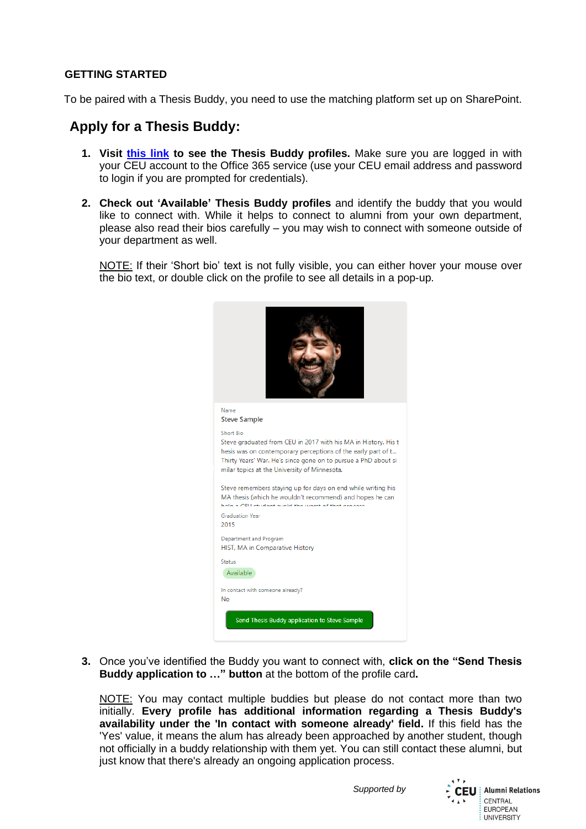## **GETTING STARTED**

To be paired with a Thesis Buddy, you need to use the matching platform set up on SharePoint.

## **Apply for a Thesis Buddy:**

- **1. Visit [this link](https://ceuedu.sharepoint.com/sites/AlumniRelationsOffice/Lists/ThesisBuddyProgram/) to see the Thesis Buddy profiles.** Make sure you are logged in with your CEU account to the Office 365 service (use your CEU email address and password to login if you are prompted for credentials).
- **2. Check out 'Available' Thesis Buddy profiles** and identify the buddy that you would like to connect with. While it helps to connect to alumni from your own department, please also read their bios carefully – you may wish to connect with someone outside of your department as well.

NOTE: If their 'Short bio' text is not fully visible, you can either hover your mouse over the bio text, or double click on the profile to see all details in a pop-up.



**3.** Once you've identified the Buddy you want to connect with, **click on the "Send Thesis Buddy application to …" button** at the bottom of the profile card**.** 

NOTE: You may contact multiple buddies but please do not contact more than two initially. **Every profile has additional information regarding a Thesis Buddy's availability under the 'In contact with someone already' field.** If this field has the 'Yes' value, it means the alum has already been approached by another student, though not officially in a buddy relationship with them yet. You can still contact these alumni, but just know that there's already an ongoing application process.

*Supported by*

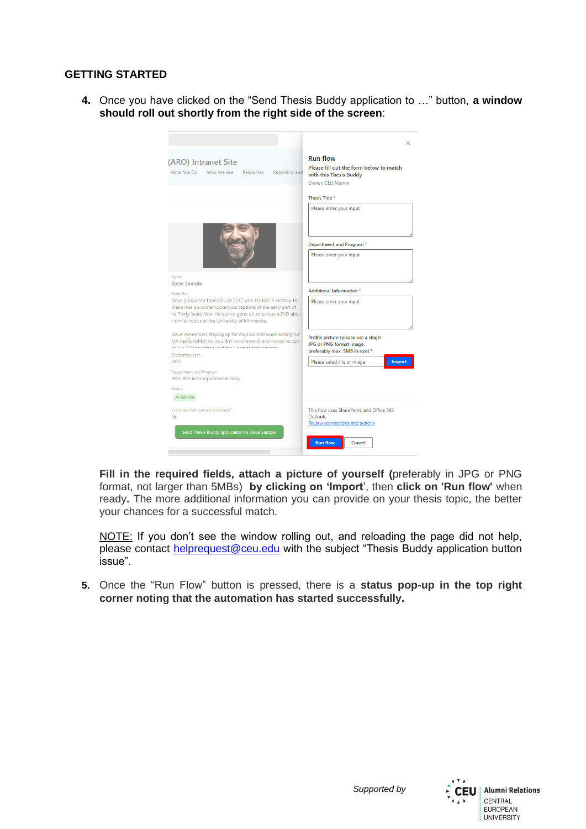## **GETTING STARTED**

**4.** Once you have clicked on the "Send Thesis Buddy application to …" button, **a window should roll out shortly from the right side of the screen**:

| (ARO) Intranet Site<br>What We Do<br>Who We Are<br>Resources<br>Reporting and                                                                                                                                                                    | <b>Run flow</b><br>Please fill out the form below to match<br>with this Thesis Buddy<br>Owner: CEU Alumni |
|--------------------------------------------------------------------------------------------------------------------------------------------------------------------------------------------------------------------------------------------------|-----------------------------------------------------------------------------------------------------------|
|                                                                                                                                                                                                                                                  | Thesis Title *                                                                                            |
|                                                                                                                                                                                                                                                  | Please enter your input                                                                                   |
|                                                                                                                                                                                                                                                  | Department and Program *                                                                                  |
|                                                                                                                                                                                                                                                  | Please enter your input                                                                                   |
| Name<br><b>Steve Sample</b>                                                                                                                                                                                                                      |                                                                                                           |
| <b>Short Bio</b>                                                                                                                                                                                                                                 | Additional Information *                                                                                  |
| Steve graduated from CEU in 2017 with his MA in History. His<br>thesis was on contemporary perceptions of the early part of<br>he Thirty Years' War. He's since gone on to pursue a PhD abou<br>t similar topics at the University of Minnesota. | Please enter your input                                                                                   |
| Steve remembers staying up for days on end while writing his<br>MA thesis (which he wouldn't recommend) and hopes he can<br>hala a CELLatudeat anald the maint of that answers                                                                   | Profile picture (please use a single<br>JPG or PNG format image,<br>preferably max. 5MB in size) *        |
| <b>Graduation Year</b><br>2015                                                                                                                                                                                                                   | Import<br>Please select file or image                                                                     |
| Department and Program<br>HIST, MA in Comparative History                                                                                                                                                                                        |                                                                                                           |
| <b>Status</b>                                                                                                                                                                                                                                    |                                                                                                           |
| Available                                                                                                                                                                                                                                        |                                                                                                           |
| In contact with someone already?<br><b>No</b>                                                                                                                                                                                                    | This flow uses SharePoint, and Office 365<br>Outlook.<br>Review connections and actions                   |
| Send Thesis Buddy application to Steve Sample                                                                                                                                                                                                    | <b>Run flow</b><br>Cancel                                                                                 |

**Fill in the required fields, attach a picture of yourself (**preferably in JPG or PNG format, not larger than 5MBs) **by clicking on 'Import**', then **click on 'Run flow'** when ready**.** The more additional information you can provide on your thesis topic, the better your chances for a successful match.

NOTE: If you don't see the window rolling out, and reloading the page did not help, please contact [helprequest@ceu.edu](mailto:helprequest@ceu.edu) with the subject "Thesis Buddy application button issue".

**5.** Once the "Run Flow" button is pressed, there is a **status pop-up in the top right corner noting that the automation has started successfully.**

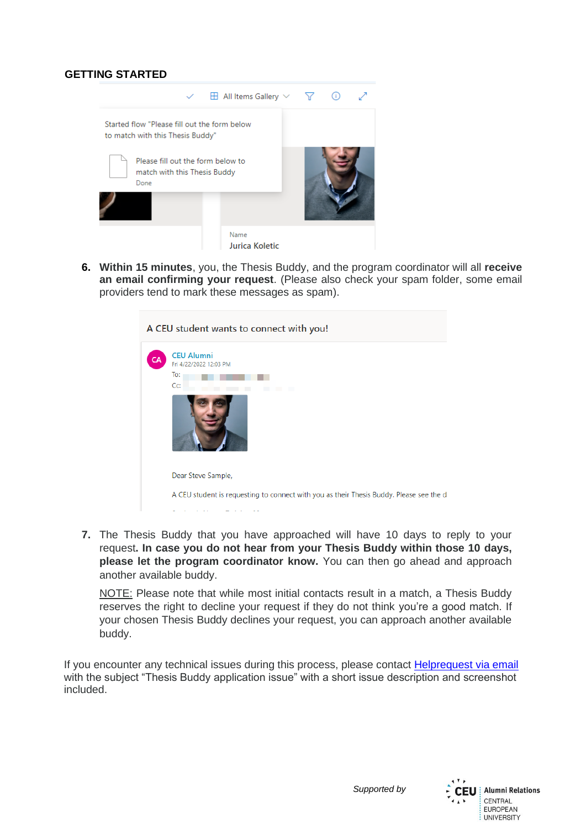## **GETTING STARTED**



**6. Within 15 minutes**, you, the Thesis Buddy, and the program coordinator will all **receive an email confirming your request**. (Please also check your spam folder, some email providers tend to mark these messages as spam).



**7.** The Thesis Buddy that you have approached will have 10 days to reply to your request**. In case you do not hear from your Thesis Buddy within those 10 days, please let the program coordinator know.** You can then go ahead and approach another available buddy.

NOTE: Please note that while most initial contacts result in a match, a Thesis Buddy reserves the right to decline your request if they do not think you're a good match. If your chosen Thesis Buddy declines your request, you can approach another available buddy.

If you encounter any technical issues during this process, please contact [Helprequest via email](mailto:helprequest@ceu.edu) with the subject "Thesis Buddy application issue" with a short issue description and screenshot included.

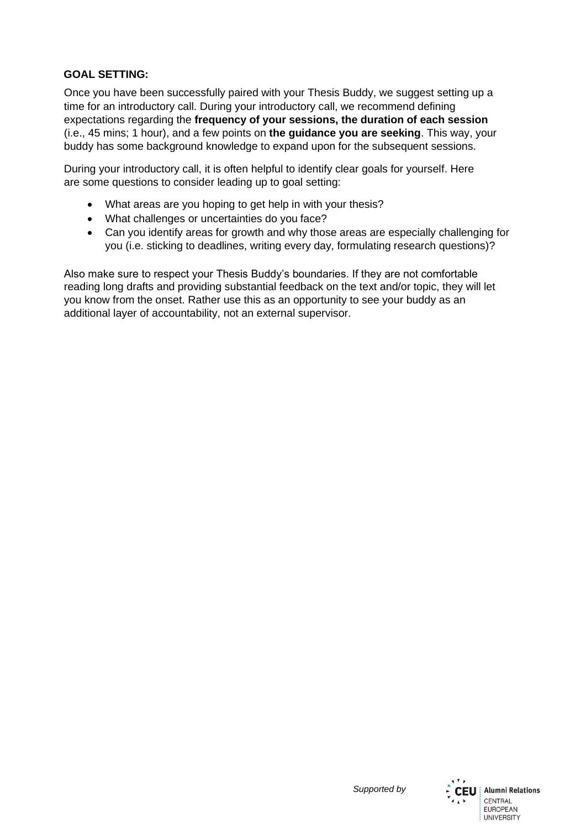## **GOAL SETTING:**

Once you have been successfully paired with your Thesis Buddy, we suggest setting up a time for an introductory call. During your introductory call, we recommend defining expectations regarding the **frequency of your sessions, the duration of each session**  (i.e., 45 mins; 1 hour), and a few points on **the guidance you are seeking**. This way, your buddy has some background knowledge to expand upon for the subsequent sessions.

During your introductory call, it is often helpful to identify clear goals for yourself. Here are some questions to consider leading up to goal setting:

- What areas are you hoping to get help in with your thesis?
- What challenges or uncertainties do you face?
- Can you identify areas for growth and why those areas are especially challenging for you (i.e. sticking to deadlines, writing every day, formulating research questions)?

Also make sure to respect your Thesis Buddy's boundaries. If they are not comfortable reading long drafts and providing substantial feedback on the text and/or topic, they will let you know from the onset. Rather use this as an opportunity to see your buddy as an additional layer of accountability, not an external supervisor.

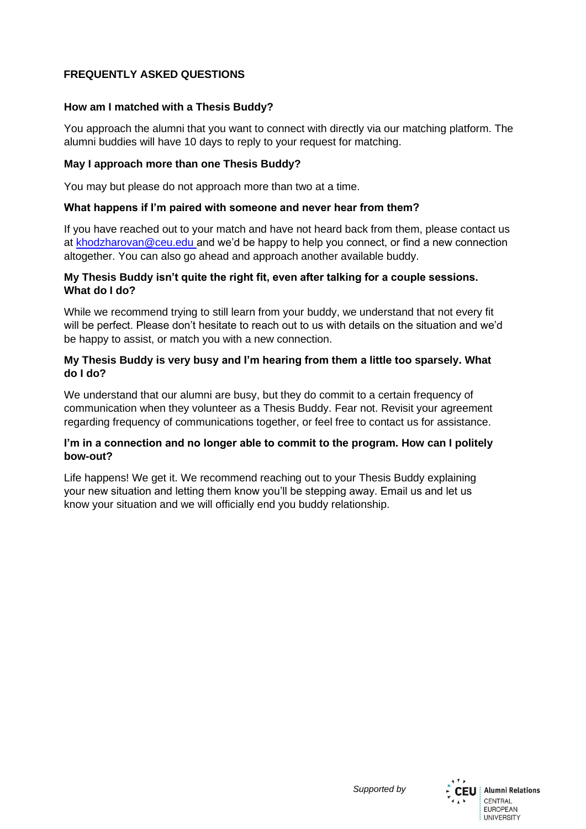## **FREQUENTLY ASKED QUESTIONS**

## **How am I matched with a Thesis Buddy?**

You approach the alumni that you want to connect with directly via our matching platform. The alumni buddies will have 10 days to reply to your request for matching.

#### **May I approach more than one Thesis Buddy?**

You may but please do not approach more than two at a time.

#### **What happens if I'm paired with someone and never hear from them?**

If you have reached out to your match and have not heard back from them, please contact us at [khodzharovan@ceu.edu a](mailto:khodzharovan@ceu.edu)nd we'd be happy to help you connect, or find a new connection altogether. You can also go ahead and approach another available buddy.

#### **My Thesis Buddy isn't quite the right fit, even after talking for a couple sessions. What do I do?**

While we recommend trying to still learn from your buddy, we understand that not every fit will be perfect. Please don't hesitate to reach out to us with details on the situation and we'd be happy to assist, or match you with a new connection.

#### **My Thesis Buddy is very busy and I'm hearing from them a little too sparsely. What do I do?**

We understand that our alumni are busy, but they do commit to a certain frequency of communication when they volunteer as a Thesis Buddy. Fear not. Revisit your agreement regarding frequency of communications together, or feel free to contact us for assistance.

## **I'm in a connection and no longer able to commit to the program. How can I politely bow-out?**

Life happens! We get it. We recommend reaching out to your Thesis Buddy explaining your new situation and letting them know you'll be stepping away. Email us and let us know your situation and we will officially end you buddy relationship.